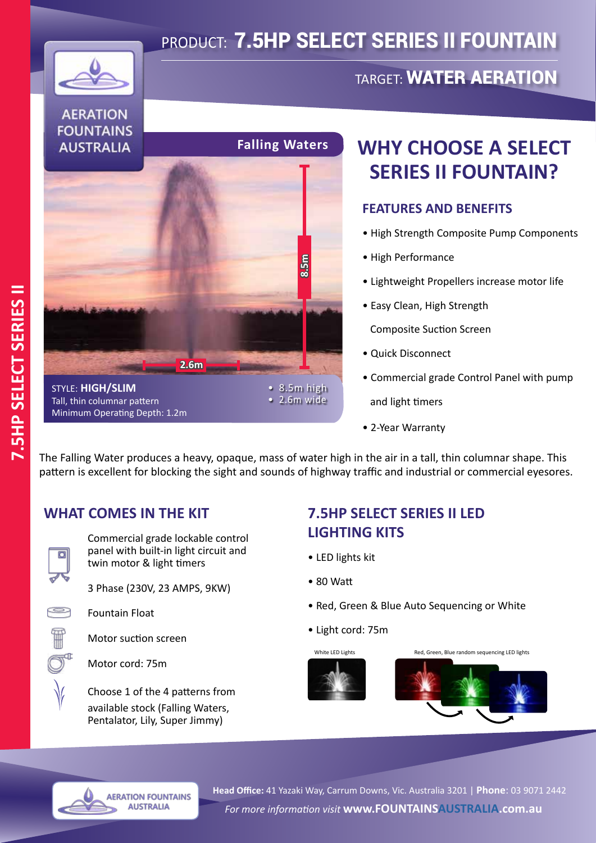# PRODUCT: 7.5HP SELECT SERIES II FOUNTAIN



#### **AERATION FOUNTAINS AUSTRALIA**



## **WHY CHOOSE A SELECT SERIES II FOUNTAIN?**

TARGET: WATER AERATION

#### **FEATURES AND BENEFITS**

- High Strength Composite Pump Components
- High Performance
- Lightweight Propellers increase motor life
- Easy Clean, High Strength

Composite Suction Screen

- Quick Disconnect
- Commercial grade Control Panel with pump

and light timers

• 2-Year Warranty

The Falling Water produces a heavy, opaque, mass of water high in the air in a tall, thin columnar shape. This pattern is excellent for blocking the sight and sounds of highway traffic and industrial or commercial eyesores.

### **WHAT COMES IN THE KIT**



Commercial grade lockable control panel with built-in light circuit and twin motor & light timers

3 Phase (230V, 23 AMPS, 9KW)



Fountain Float

Motor suction screen

Motor cord: 75m

Choose 1 of the 4 patterns from available stock (Falling Waters, Pentalator, Lily, Super Jimmy)

> **AERATION FOUNTAINS AUSTRALIA**

### **7.5HP SELECT SERIES II LED LIGHTING KITS**

- LED lights kit
- 80 Watt
- Red, Green & Blue Auto Sequencing or White
- Light cord: 75m



White LED Lights **Red, Green, Blue random sequencing LED lights**